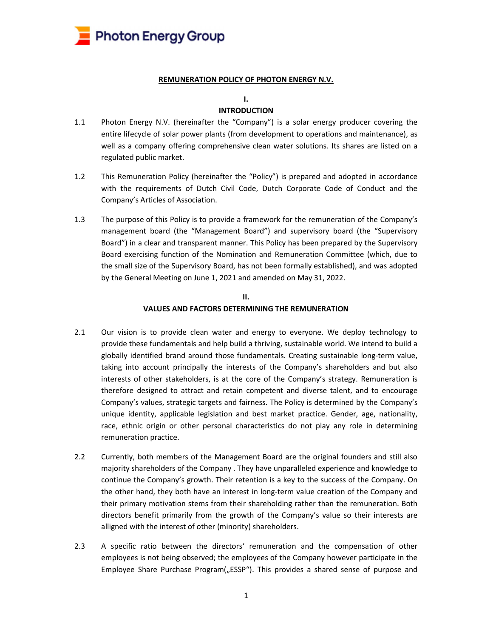

#### REMUNERATION POLICY OF PHOTON ENERGY N.V.

#### I.

## INTRODUCTION

- 1.1 Photon Energy N.V. (hereinafter the "Company") is a solar energy producer covering the entire lifecycle of solar power plants (from development to operations and maintenance), as well as a company offering comprehensive clean water solutions. Its shares are listed on a regulated public market.
- 1.2 This Remuneration Policy (hereinafter the "Policy") is prepared and adopted in accordance with the requirements of Dutch Civil Code, Dutch Corporate Code of Conduct and the Company's Articles of Association.
- 1.3 The purpose of this Policy is to provide a framework for the remuneration of the Company's management board (the "Management Board") and supervisory board (the "Supervisory Board") in a clear and transparent manner. This Policy has been prepared by the Supervisory Board exercising function of the Nomination and Remuneration Committee (which, due to the small size of the Supervisory Board, has not been formally established), and was adopted by the General Meeting on June 1, 2021 and amended on May 31, 2022.

# II. VALUES AND FACTORS DETERMINING THE REMUNERATION

- 2.1 Our vision is to provide clean water and energy to everyone. We deploy technology to provide these fundamentals and help build a thriving, sustainable world. We intend to build a globally identified brand around those fundamentals. Creating sustainable long-term value, taking into account principally the interests of the Company's shareholders and but also interests of other stakeholders, is at the core of the Company's strategy. Remuneration is therefore designed to attract and retain competent and diverse talent, and to encourage Company's values, strategic targets and fairness. The Policy is determined by the Company's unique identity, applicable legislation and best market practice. Gender, age, nationality, race, ethnic origin or other personal characteristics do not play any role in determining remuneration practice.
- 2.2 Currently, both members of the Management Board are the original founders and still also majority shareholders of the Company . They have unparalleled experience and knowledge to continue the Company's growth. Their retention is a key to the success of the Company. On the other hand, they both have an interest in long-term value creation of the Company and their primary motivation stems from their shareholding rather than the remuneration. Both directors benefit primarily from the growth of the Company's value so their interests are alligned with the interest of other (minority) shareholders.
- 2.3 A specific ratio between the directors' remuneration and the compensation of other employees is not being observed; the employees of the Company however participate in the Employee Share Purchase Program("ESSP"). This provides a shared sense of purpose and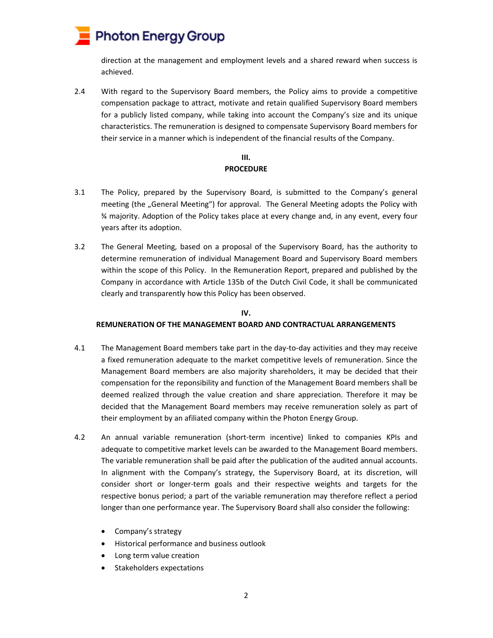

direction at the management and employment levels and a shared reward when success is achieved.

2.4 With regard to the Supervisory Board members, the Policy aims to provide a competitive compensation package to attract, motivate and retain qualified Supervisory Board members for a publicly listed company, while taking into account the Company's size and its unique characteristics. The remuneration is designed to compensate Supervisory Board members for their service in a manner which is independent of the financial results of the Company.

## III. **PROCEDURE**

- 3.1 The Policy, prepared by the Supervisory Board, is submitted to the Company's general meeting (the "General Meeting") for approval. The General Meeting adopts the Policy with ¾ majority. Adoption of the Policy takes place at every change and, in any event, every four years after its adoption.
- 3.2 The General Meeting, based on a proposal of the Supervisory Board, has the authority to determine remuneration of individual Management Board and Supervisory Board members within the scope of this Policy. In the Remuneration Report, prepared and published by the Company in accordance with Article 135b of the Dutch Civil Code, it shall be communicated clearly and transparently how this Policy has been observed.

## IV.

## REMUNERATION OF THE MANAGEMENT BOARD AND CONTRACTUAL ARRANGEMENTS

- 4.1 The Management Board members take part in the day-to-day activities and they may receive a fixed remuneration adequate to the market competitive levels of remuneration. Since the Management Board members are also majority shareholders, it may be decided that their compensation for the reponsibility and function of the Management Board members shall be deemed realized through the value creation and share appreciation. Therefore it may be decided that the Management Board members may receive remuneration solely as part of their employment by an afiliated company within the Photon Energy Group.
- 4.2 An annual variable remuneration (short-term incentive) linked to companies KPIs and adequate to competitive market levels can be awarded to the Management Board members. The variable remuneration shall be paid after the publication of the audited annual accounts. In alignment with the Company's strategy, the Supervisory Board, at its discretion, will consider short or longer-term goals and their respective weights and targets for the respective bonus period; a part of the variable remuneration may therefore reflect a period longer than one performance year. The Supervisory Board shall also consider the following:
	- Company's strategy
	- Historical performance and business outlook
	- Long term value creation
	- Stakeholders expectations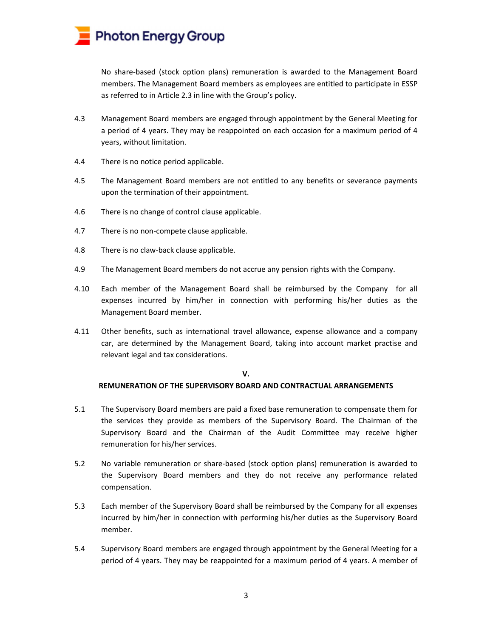

No share-based (stock option plans) remuneration is awarded to the Management Board members. The Management Board members as employees are entitled to participate in ESSP as referred to in Article 2.3 in line with the Group's policy.

- 4.3 Management Board members are engaged through appointment by the General Meeting for a period of 4 years. They may be reappointed on each occasion for a maximum period of 4 years, without limitation.
- 4.4 There is no notice period applicable.
- 4.5 The Management Board members are not entitled to any benefits or severance payments upon the termination of their appointment.
- 4.6 There is no change of control clause applicable.
- 4.7 There is no non-compete clause applicable.
- 4.8 There is no claw-back clause applicable.
- 4.9 The Management Board members do not accrue any pension rights with the Company.
- 4.10 Each member of the Management Board shall be reimbursed by the Company for all expenses incurred by him/her in connection with performing his/her duties as the Management Board member.
- 4.11 Other benefits, such as international travel allowance, expense allowance and a company car, are determined by the Management Board, taking into account market practise and relevant legal and tax considerations.

#### V.

## REMUNERATION OF THE SUPERVISORY BOARD AND CONTRACTUAL ARRANGEMENTS

- 5.1 The Supervisory Board members are paid a fixed base remuneration to compensate them for the services they provide as members of the Supervisory Board. The Chairman of the Supervisory Board and the Chairman of the Audit Committee may receive higher remuneration for his/her services.
- 5.2 No variable remuneration or share-based (stock option plans) remuneration is awarded to the Supervisory Board members and they do not receive any performance related compensation.
- 5.3 Each member of the Supervisory Board shall be reimbursed by the Company for all expenses incurred by him/her in connection with performing his/her duties as the Supervisory Board member.
- 5.4 Supervisory Board members are engaged through appointment by the General Meeting for a period of 4 years. They may be reappointed for a maximum period of 4 years. A member of